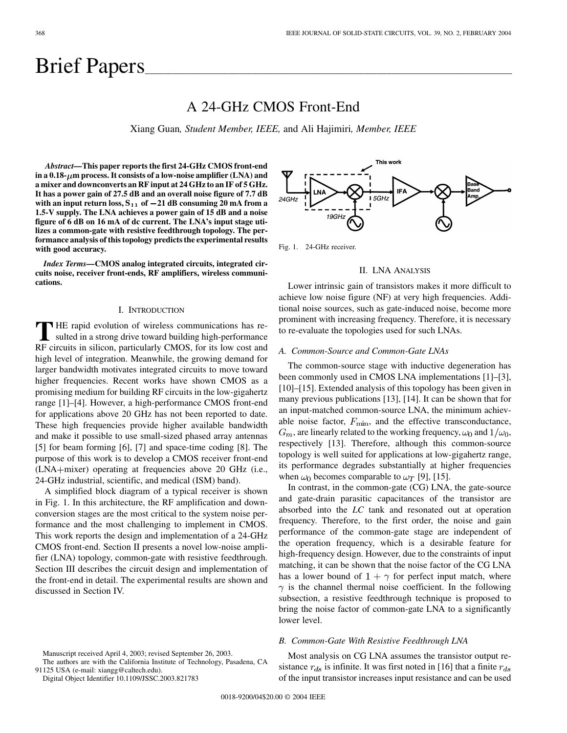# Brief Papers

# A 24-GHz CMOS Front-End

Xiang Guan*, Student Member, IEEE,* and Ali Hajimiri*, Member, IEEE*

*Abstract—***This paper reports the first 24-GHz CMOS front-end** in a  $0.18 - \mu m$  process. It consists of a low-noise amplifier (LNA) and **a mixer and downconverts an RF input at 24 GHz to an IF of 5 GHz. It has a power gain of 27.5 dB and an overall noise figure of 7.7 dB** with an input return loss,  $S_{11}$  of  $-21$  dB consuming 20 mA from a **1.5-V supply. The LNA achieves a power gain of 15 dB and a noise figure of 6 dB on 16 mA of dc current. The LNA's input stage utilizes a common-gate with resistive feedthrough topology. The performance analysis of this topology predicts the experimental results with good accuracy.**

*Index Terms—***CMOS analog integrated circuits, integrated circuits noise, receiver front-ends, RF amplifiers, wireless communications.**

# I. INTRODUCTION

**T** HE rapid evolution of wireless communications has resulted in a strong drive toward building high-performance RF circuits in silicon, particularly CMOS, for its low cost and high level of integration. Meanwhile, the growing demand for larger bandwidth motivates integrated circuits to move toward higher frequencies. Recent works have shown CMOS as a promising medium for building RF circuits in the low-gigahertz range [[1\]](#page-5-0)–[\[4](#page-5-0)]. However, a high-performance CMOS front-end for applications above 20 GHz has not been reported to date. These high frequencies provide higher available bandwidth and make it possible to use small-sized phased array antennas [\[5](#page-5-0)] for beam forming [\[6\]](#page-5-0), [[7\]](#page-5-0) and space-time coding [\[8](#page-5-0)]. The purpose of this work is to develop a CMOS receiver front-end (LNA+mixer) operating at frequencies above 20 GHz (i.e., 24-GHz industrial, scientific, and medical (ISM) band).

A simplified block diagram of a typical receiver is shown in Fig. 1. In this architecture, the RF amplification and downconversion stages are the most critical to the system noise performance and the most challenging to implement in CMOS. This work reports the design and implementation of a 24-GHz CMOS front-end. Section II presents a novel low-noise amplifier (LNA) topology, common-gate with resistive feedthrough. Section III describes the circuit design and implementation of the front-end in detail. The experimental results are shown and discussed in Section IV.



The authors are with the California Institute of Technology, Pasadena, CA 91125 USA (e-mail: xiangg@caltech.edu).

Digital Object Identifier 10.1109/JSSC.2003.821783

This work 5GHz  $24$ GHz  $19GHz$ 

Fig. 1. 24-GHz receiver.

#### II. LNA ANALYSIS

Lower intrinsic gain of transistors makes it more difficult to achieve low noise figure (NF) at very high frequencies. Additional noise sources, such as gate-induced noise, become more prominent with increasing frequency. Therefore, it is necessary to re-evaluate the topologies used for such LNAs.

#### *A. Common-Source and Common-Gate LNAs*

The common-source stage with inductive degeneration has been commonly used in CMOS LNA implementations [[1\]](#page-5-0)–[\[3](#page-5-0)], [\[10](#page-5-0)]–[\[15\]](#page-5-0). Extended analysis of this topology has been given in many previous publications [\[13](#page-5-0)], [[14\]](#page-5-0). It can be shown that for an input-matched common-source LNA, the minimum achievable noise factor,  $F_{\text{min}}$ , and the effective transconductance,  $G_m$ , are linearly related to the working frequency,  $\omega_0$  and  $1/\omega_0$ , respectively [[13\]](#page-5-0). Therefore, although this common-source topology is well suited for applications at low-gigahertz range, its performance degrades substantially at higher frequencies when  $\omega_0$  becomes comparable to  $\omega_T$  [\[9](#page-5-0)], [\[15](#page-5-0)].

In contrast, in the common-gate (CG) LNA, the gate-source and gate-drain parasitic capacitances of the transistor are absorbed into the *LC* tank and resonated out at operation frequency. Therefore, to the first order, the noise and gain performance of the common-gate stage are independent of the operation frequency, which is a desirable feature for high-frequency design. However, due to the constraints of input matching, it can be shown that the noise factor of the CG LNA has a lower bound of  $1 + \gamma$  for perfect input match, where  $\gamma$  is the channel thermal noise coefficient. In the following subsection, a resistive feedthrough technique is proposed to bring the noise factor of common-gate LNA to a significantly lower level.

# *B. Common-Gate With Resistive Feedthrough LNA*

Most analysis on CG LNA assumes the transistor output resistance  $r_{ds}$  is infinite. It was first noted in [[16\]](#page-5-0) that a finite  $r_{ds}$ of the input transistor increases input resistance and can be used

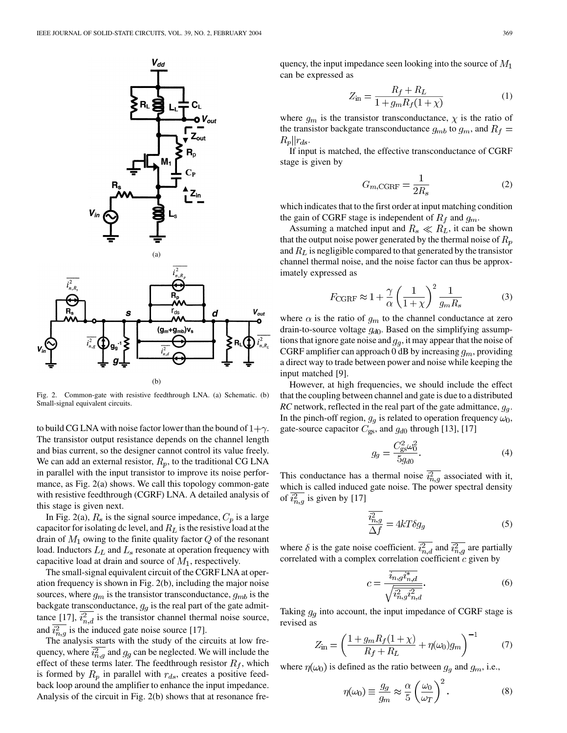

Fig. 2. Common-gate with resistive feedthrough LNA. (a) Schematic. (b) Small-signal equivalent circuits.

to build CG LNA with noise factor lower than the bound of  $1+\gamma$ . The transistor output resistance depends on the channel length and bias current, so the designer cannot control its value freely. We can add an external resistor,  $R_p$ , to the traditional CG LNA in parallel with the input transistor to improve its noise performance, as Fig. 2(a) shows. We call this topology common-gate with resistive feedthrough (CGRF) LNA. A detailed analysis of this stage is given next.

In Fig. 2(a),  $R_s$  is the signal source impedance,  $C_p$  is a large capacitor for isolating dc level, and  $R_L$  is the resistive load at the drain of  $M_1$  owing to the finite quality factor  $Q$  of the resonant load. Inductors  $L<sub>L</sub>$  and  $L<sub>s</sub>$  resonate at operation frequency with capacitive load at drain and source of  $M_1$ , respectively.

The small-signal equivalent circuit of the CGRF LNA at operation frequency is shown in Fig. 2(b), including the major noise sources, where  $g_m$  is the transistor transconductance,  $g_{mb}$  is the backgate transconductance,  $g<sub>g</sub>$  is the real part of the gate admit-tance [\[17](#page-5-0)],  $i_{n,d}^2$  is the transistor channel thermal noise source, and  $\overline{i_{n,q}^2}$  is the induced gate noise source [[17\]](#page-5-0).

The analysis starts with the study of the circuits at low frequency, where  $i_{n,q}^2$  and  $g_g$  can be neglected. We will include the effect of these terms later. The feedthrough resistor  $R_f$ , which is formed by  $R_p$  in parallel with  $r_{ds}$ , creates a positive feedback loop around the amplifier to enhance the input impedance. Analysis of the circuit in Fig. 2(b) shows that at resonance frequency, the input impedance seen looking into the source of  $M_1$ can be expressed as

$$
Z_{\rm in} = \frac{R_f + R_L}{1 + g_m R_f (1 + \chi)}
$$
(1)

where  $g_m$  is the transistor transconductance,  $\chi$  is the ratio of the transistor backgate transconductance  $g_{mb}$  to  $g_m$ , and  $R_f =$  $R_p||r_{ds}.$ 

If input is matched, the effective transconductance of CGRF stage is given by

$$
G_{m,\text{CGRF}} = \frac{1}{2R_s} \tag{2}
$$

which indicates that to the first order at input matching condition the gain of CGRF stage is independent of  $R_f$  and  $g_m$ .

Assuming a matched input and  $R_s \ll R_L$ , it can be shown that the output noise power generated by the thermal noise of  $R_p$ and  $R_L$  is negligible compared to that generated by the transistor channel thermal noise, and the noise factor can thus be approximately expressed as

$$
F_{\text{CGRF}} \approx 1 + \frac{\gamma}{\alpha} \left(\frac{1}{1+\chi}\right)^2 \frac{1}{g_m R_s} \tag{3}
$$

where  $\alpha$  is the ratio of  $g_m$  to the channel conductance at zero drain-to-source voltage  $g_{d0}$ . Based on the simplifying assumptions that ignore gate noise and  $g<sub>g</sub>$ , it may appear that the noise of CGRF amplifier can approach 0 dB by increasing  $g_m$ , providing a direct way to trade between power and noise while keeping the input matched [\[9\]](#page-5-0).

However, at high frequencies, we should include the effect that the coupling between channel and gate is due to a distributed *RC* network, reflected in the real part of the gate admittance,  $g_q$ . In the pinch-off region,  $g_g$  is related to operation frequency  $\omega_0$ , gate-source capacitor  $C_{gs}$ , and  $g_{d0}$  through [\[13\]](#page-5-0), [[17\]](#page-5-0)

$$
g_g = \frac{C_{\rm gs}^2 \omega_0^2}{5g_{d0}}.\tag{4}
$$

This conductance has a thermal noise  $\overline{i_{n,q}^2}$  associated with it, which is called induced gate noise. The power spectral density of  $\overline{i_{n,q}^2}$  is given by [\[17](#page-5-0)]

$$
\frac{\overline{i_{n,g}^2}}{\Delta f} = 4kT\delta g_g
$$
\n(5)

where  $\delta$  is the gate noise coefficient.  $\overline{i_{n,d}^2}$  and  $\overline{i_{n,g}^2}$  are partially correlated with a complex correlation coefficient  $c$  given by

$$
c = \frac{i_{n,g}i_{n,d}^*}{\sqrt{\overline{i_{n,g}^2 i_{n,d}^2}}}. \tag{6}
$$

Taking  $g_g$  into account, the input impedance of CGRF stage is revised as

$$
Z_{\rm in} = \left(\frac{1 + g_m R_f (1 + \chi)}{R_f + R_L} + \eta(\omega_0) g_m\right)^{-1}
$$
 (7)

where  $\eta(\omega_0)$  is defined as the ratio between  $g_q$  and  $g_m$ , i.e.,

$$
\eta(\omega_0) \equiv \frac{g_g}{g_m} \approx \frac{\alpha}{5} \left(\frac{\omega_0}{\omega_T}\right)^2.
$$
 (8)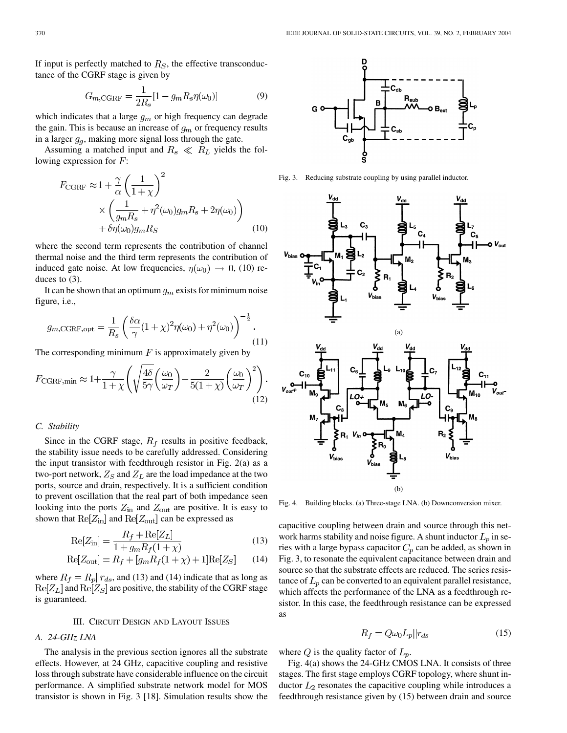If input is perfectly matched to  $R<sub>S</sub>$ , the effective transconductance of the CGRF stage is given by

$$
G_{m,\text{CGRF}} = \frac{1}{2R_s} [1 - g_m R_s \eta(\omega_0)] \tag{9}
$$

which indicates that a large  $g_m$  or high frequency can degrade the gain. This is because an increase of  $g_m$  or frequency results in a larger  $g_q$ , making more signal loss through the gate.

Assuming a matched input and  $R_s \ll R_L$  yields the following expression for  $F$ :

$$
F_{\text{CGRF}} \approx 1 + \frac{\gamma}{\alpha} \left( \frac{1}{1+\chi} \right)^2
$$
  
 
$$
\times \left( \frac{1}{g_m R_s} + \eta^2(\omega_0) g_m R_s + 2\eta(\omega_0) \right)
$$
  
 
$$
+ \delta \eta(\omega_0) g_m R_S \tag{10}
$$

where the second term represents the contribution of channel thermal noise and the third term represents the contribution of induced gate noise. At low frequencies,  $\eta(\omega_0) \rightarrow 0$ , (10) reduces to (3).

It can be shown that an optimum  $g_m$  exists for minimum noise figure, i.e.,

$$
g_{m,\text{CGRF},\text{opt}} = \frac{1}{R_s} \left( \frac{\delta \alpha}{\gamma} (1+\chi)^2 \eta(\omega_0) + \eta^2(\omega_0) \right)^{-\frac{1}{2}}.
$$
\n(11)

The corresponding minimum  $F$  is approximately given by

$$
F_{\text{CGRF,min}} \approx 1 + \frac{\gamma}{1+\chi} \left( \sqrt{\frac{4\delta}{5\gamma}} \left( \frac{\omega_0}{\omega_T} \right) + \frac{2}{5(1+\chi)} \left( \frac{\omega_0}{\omega_T} \right)^2 \right). \tag{12}
$$

# *C. Stability*

Since in the CGRF stage,  $R_f$  results in positive feedback, the stability issue needs to be carefully addressed. Considering the input transistor with feedthrough resistor in Fig. 2(a) as a two-port network,  $Z_S$  and  $Z_L$  are the load impedance at the two ports, source and drain, respectively. It is a sufficient condition to prevent oscillation that the real part of both impedance seen looking into the ports  $Z_{\text{in}}$  and  $Z_{\text{out}}$  are positive. It is easy to shown that  $Re[Z_{in}]$  and  $Re[Z_{out}]$  can be expressed as

$$
Re[Z_{in}] = \frac{R_f + Re[Z_L]}{1 + q_m R_f (1 + \chi)}\tag{13}
$$

$$
Re[Z_{\text{out}}] = R_f + [g_m R_f (1 + \chi) + 1] Re[Z_S]
$$
 (14)

where  $R_f = R_p || r_{ds}$ , and (13) and (14) indicate that as long as  $Re[Z_L]$  and  $Re[Z_S]$  are positive, the stability of the CGRF stage is guaranteed.

## III. CIRCUIT DESIGN AND LAYOUT ISSUES

# *A. 24-GHz LNA*

The analysis in the previous section ignores all the substrate effects. However, at 24 GHz, capacitive coupling and resistive loss through substrate have considerable influence on the circuit performance. A simplified substrate network model for MOS transistor is shown in Fig. 3 [\[18](#page-5-0)]. Simulation results show the



Fig. 3. Reducing substrate coupling by using parallel inductor.



Fig. 4. Building blocks. (a) Three-stage LNA. (b) Downconversion mixer.

capacitive coupling between drain and source through this network harms stability and noise figure. A shunt inductor  $L_p$  in series with a large bypass capacitor  $C_p$  can be added, as shown in Fig. 3, to resonate the equivalent capacitance between drain and source so that the substrate effects are reduced. The series resistance of  $L_p$  can be converted to an equivalent parallel resistance, which affects the performance of the LNA as a feedthrough resistor. In this case, the feedthrough resistance can be expressed as

$$
R_f = Q\omega_0 L_p ||r_{ds} \tag{15}
$$

where  $Q$  is the quality factor of  $L_p$ .

Fig. 4(a) shows the 24-GHz CMOS LNA. It consists of three stages. The first stage employs CGRF topology, where shunt inductor  $L_2$  resonates the capacitive coupling while introduces a feedthrough resistance given by (15) between drain and source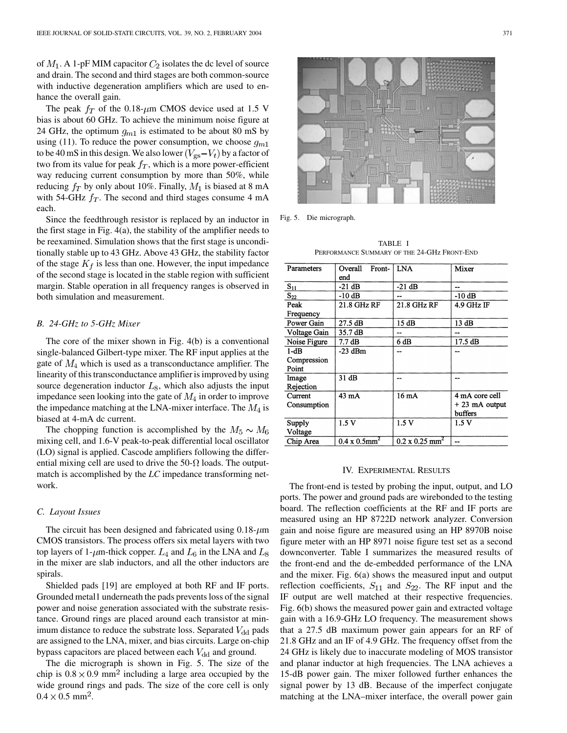of  $M_1$ . A 1-pF MIM capacitor  $C_2$  isolates the dc level of source and drain. The second and third stages are both common-source with inductive degeneration amplifiers which are used to enhance the overall gain.

The peak  $f_T$  of the 0.18- $\mu$ m CMOS device used at 1.5 V bias is about 60 GHz. To achieve the minimum noise figure at 24 GHz, the optimum  $g_{m1}$  is estimated to be about 80 mS by using (11). To reduce the power consumption, we choose  $g_{m1}$ to be 40 mS in this design. We also lower  $(V_{\rm gs} - V_t)$  by a factor of two from its value for peak  $f<sub>T</sub>$ , which is a more power-efficient way reducing current consumption by more than 50%, while reducing  $f_T$  by only about 10%. Finally,  $M_1$  is biased at 8 mA with 54-GHz  $f_T$ . The second and third stages consume 4 mA each.

Since the feedthrough resistor is replaced by an inductor in the first stage in Fig. 4(a), the stability of the amplifier needs to be reexamined. Simulation shows that the first stage is unconditionally stable up to 43 GHz. Above 43 GHz, the stability factor of the stage  $K_f$  is less than one. However, the input impedance of the second stage is located in the stable region with sufficient margin. Stable operation in all frequency ranges is observed in both simulation and measurement.

#### *B. 24-GHz to 5-GHz Mixer*

The core of the mixer shown in Fig. 4(b) is a conventional single-balanced Gilbert-type mixer. The RF input applies at the gate of  $M_4$  which is used as a transconductance amplifier. The linearity of this transconductance amplifier is improved by using source degeneration inductor  $L_8$ , which also adjusts the input impedance seen looking into the gate of  $M_4$  in order to improve the impedance matching at the LNA-mixer interface. The  $M_4$  is biased at 4-mA dc current.

The chopping function is accomplished by the  $M_5 \sim M_6$ mixing cell, and 1.6-V peak-to-peak differential local oscillator (LO) signal is applied. Cascode amplifiers following the differential mixing cell are used to drive the  $50-\Omega$  loads. The outputmatch is accomplished by the *LC* impedance transforming network.

#### *C. Layout Issues*

The circuit has been designed and fabricated using  $0.18 \mu m$ CMOS transistors. The process offers six metal layers with two top layers of 1- $\mu$ m-thick copper.  $L_4$  and  $L_6$  in the LNA and  $L_8$ in the mixer are slab inductors, and all the other inductors are spirals.

Shielded pads [\[19](#page-5-0)] are employed at both RF and IF ports. Grounded metal1 underneath the pads prevents loss of the signal power and noise generation associated with the substrate resistance. Ground rings are placed around each transistor at minimum distance to reduce the substrate loss. Separated  $V_{dd}$  pads are assigned to the LNA, mixer, and bias circuits. Large on-chip bypass capacitors are placed between each  $V_{\rm dd}$  and ground.

The die micrograph is shown in Fig. 5. The size of the chip is  $0.8 \times 0.9$  mm<sup>2</sup> including a large area occupied by the wide ground rings and pads. The size of the core cell is only  $0.4 \times 0.5$  mm<sup>2</sup>.



Fig. 5. Die micrograph.

TABLE I PERFORMANCE SUMMARY OF THE 24-GHz FRONT-END

| Parameters   | Overall<br>Front-<br>end         | LNA                               | Mixer             |
|--------------|----------------------------------|-----------------------------------|-------------------|
| $S_{11}$     | $-21$ dB                         | $-21$ dB                          | --                |
| $S_{22}$     | $-10$ dB                         | --                                | $-10$ dB          |
| Peak         | 21.8 GHz RF                      | 21.8 GHz RF                       | 4.9 GHz IF        |
| Frequency    |                                  |                                   |                   |
| Power Gain   | 27.5dB                           | 15 dB                             | 13 dB             |
| Voltage Gain | 35.7 dB                          |                                   |                   |
| Noise Figure | 7.7dB                            | 6 dB                              | $17.5 \text{ dB}$ |
| $1-dB$       | $-23$ dBm                        |                                   |                   |
| Compression  |                                  |                                   |                   |
| Point        |                                  |                                   |                   |
| Image        | 31 dB                            |                                   |                   |
| Rejection    |                                  |                                   |                   |
| Current      | 43 mA                            | 16mA                              | 4 mA core cell    |
| Consumption  |                                  |                                   | $+23$ mA output   |
|              |                                  |                                   | buffers           |
| Supply       | 1.5V                             | 1.5V                              | 1.5V              |
| Voltage      |                                  |                                   |                   |
| Chip Area    | $0.4 \times 0.5$ mm <sup>2</sup> | $0.2 \times 0.25$ mm <sup>2</sup> |                   |

#### IV. EXPERIMENTAL RESULTS

The front-end is tested by probing the input, output, and LO ports. The power and ground pads are wirebonded to the testing board. The reflection coefficients at the RF and IF ports are measured using an HP 8722D network analyzer. Conversion gain and noise figure are measured using an HP 8970B noise figure meter with an HP 8971 noise figure test set as a second downconverter. Table I summarizes the measured results of the front-end and the de-embedded performance of the LNA and the mixer. Fig. 6(a) shows the measured input and output reflection coefficients,  $S_{11}$  and  $S_{22}$ . The RF input and the IF output are well matched at their respective frequencies. Fig. 6(b) shows the measured power gain and extracted voltage gain with a 16.9-GHz LO frequency. The measurement shows that a 27.5 dB maximum power gain appears for an RF of 21.8 GHz and an IF of 4.9 GHz. The frequency offset from the 24 GHz is likely due to inaccurate modeling of MOS transistor and planar inductor at high frequencies. The LNA achieves a 15-dB power gain. The mixer followed further enhances the signal power by 13 dB. Because of the imperfect conjugate matching at the LNA–mixer interface, the overall power gain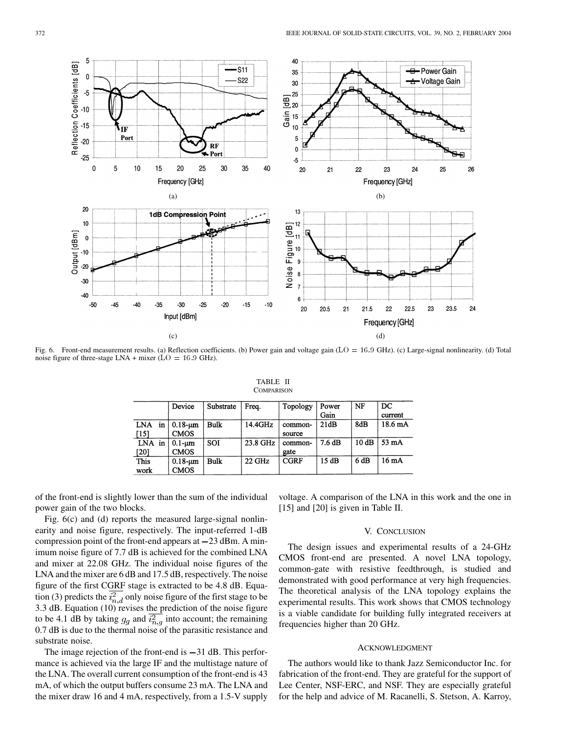

Fig. 6. Front-end measurement results. (a) Reflection coefficients. (b) Power gain and voltage gain (LO = 16:9 GHz). (c) Large-signal nonlinearity. (d) Total noise figure of three-stage LNA + mixer ( $LO = 16.9$  GHz).

|                     | Device                        | Substrate   | Freq.    | Topology          | Power<br>Gain | NF   | $_{\rm DC}$<br>current |
|---------------------|-------------------------------|-------------|----------|-------------------|---------------|------|------------------------|
| in<br>LNA<br>$[15]$ | $0.18 - \mu m$<br><b>CMOS</b> | Bulk        | 14.4GHz  | common-<br>source | 21dB          | 8dB  | $18.6 \text{ mA}$      |
| LNA in<br>$[20]$    | $0.1 - \mu m$<br><b>CMOS</b>  | SOI         | 23.8 GHz | common-<br>gate   | 7.6dB         | 10dB | $53 \text{ mA}$        |
| <b>This</b><br>work | $0.18 - \mu m$<br><b>CMOS</b> | <b>Bulk</b> | 22 GHz   | <b>CGRF</b>       | 15dB          | 6dB  | 16mA                   |

| TABLE II   |  |
|------------|--|
| COMPARISON |  |

of the front-end is slightly lower than the sum of the individual power gain of the two blocks.

Fig. 6(c) and (d) reports the measured large-signal nonlinearity and noise figure, respectively. The input-referred 1-dB compression point of the front-end appears at  $-23$  dBm. A minimum noise figure of 7.7 dB is achieved for the combined LNA and mixer at 22.08 GHz. The individual noise figures of the LNA and the mixer are 6 dB and 17.5 dB, respectively. The noise figure of the first CGRF stage is extracted to be 4.8 dB. Equation (3) predicts the  $\overline{i_{n,d}^2}$  only noise figure of the first stage to be 3.3 dB. Equation (10) revises the prediction of the noise figure to be 4.1 dB by taking  $g_g$  and  $\overline{i_{n,g}^2}$  into account; the remaining 0.7 dB is due to the thermal noise of the parasitic resistance and substrate noise.

The image rejection of the front-end is  $-31$  dB. This performance is achieved via the large IF and the multistage nature of the LNA. The overall current consumption of the front-end is 43 mA, of which the output buffers consume 23 mA. The LNA and the mixer draw 16 and 4 mA, respectively, from a 1.5-V supply voltage. A comparison of the LNA in this work and the one in [\[15](#page-5-0)] and [[20\]](#page-5-0) is given in Table II.

#### V. CONCLUSION

The design issues and experimental results of a 24-GHz CMOS front-end are presented. A novel LNA topology, common-gate with resistive feedthrough, is studied and demonstrated with good performance at very high frequencies. The theoretical analysis of the LNA topology explains the experimental results. This work shows that CMOS technology is a viable candidate for building fully integrated receivers at frequencies higher than 20 GHz.

#### ACKNOWLEDGMENT

The authors would like to thank Jazz Semiconductor Inc. for fabrication of the front-end. They are grateful for the support of Lee Center, NSF-ERC, and NSF. They are especially grateful for the help and advice of M. Racanelli, S. Stetson, A. Karroy,